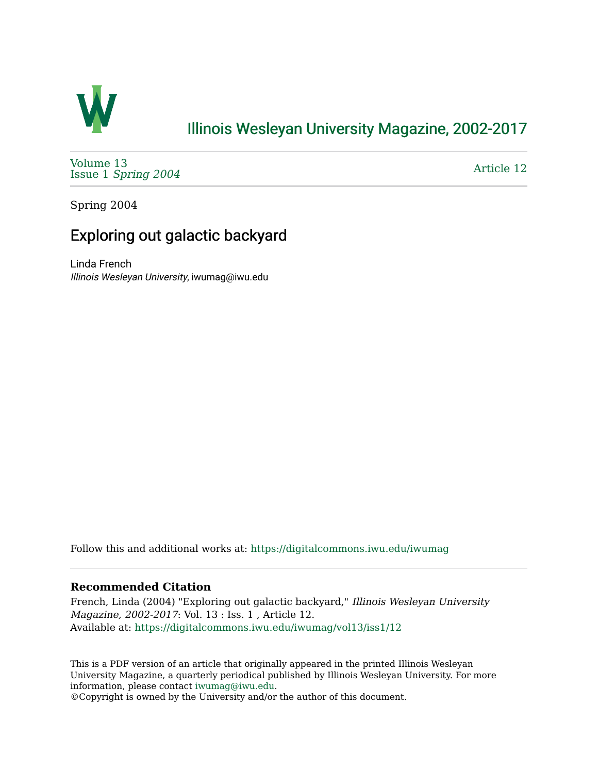

## [Illinois Wesleyan University Magazine, 2002-2017](https://digitalcommons.iwu.edu/iwumag)

[Volume 13](https://digitalcommons.iwu.edu/iwumag/vol13)  Issue 1 [Spring 2004](https://digitalcommons.iwu.edu/iwumag/vol13/iss1)

[Article 12](https://digitalcommons.iwu.edu/iwumag/vol13/iss1/12) 

Spring 2004

# Exploring out galactic backyard

Linda French Illinois Wesleyan University, iwumag@iwu.edu

Follow this and additional works at: [https://digitalcommons.iwu.edu/iwumag](https://digitalcommons.iwu.edu/iwumag?utm_source=digitalcommons.iwu.edu%2Fiwumag%2Fvol13%2Fiss1%2F12&utm_medium=PDF&utm_campaign=PDFCoverPages) 

#### **Recommended Citation**

French, Linda (2004) "Exploring out galactic backyard," Illinois Wesleyan University Magazine, 2002-2017: Vol. 13 : Iss. 1 , Article 12. Available at: [https://digitalcommons.iwu.edu/iwumag/vol13/iss1/12](https://digitalcommons.iwu.edu/iwumag/vol13/iss1/12?utm_source=digitalcommons.iwu.edu%2Fiwumag%2Fvol13%2Fiss1%2F12&utm_medium=PDF&utm_campaign=PDFCoverPages) 

This is a PDF version of an article that originally appeared in the printed Illinois Wesleyan University Magazine, a quarterly periodical published by Illinois Wesleyan University. For more information, please contact [iwumag@iwu.edu](mailto:iwumag@iwu.edu).

©Copyright is owned by the University and/or the author of this document.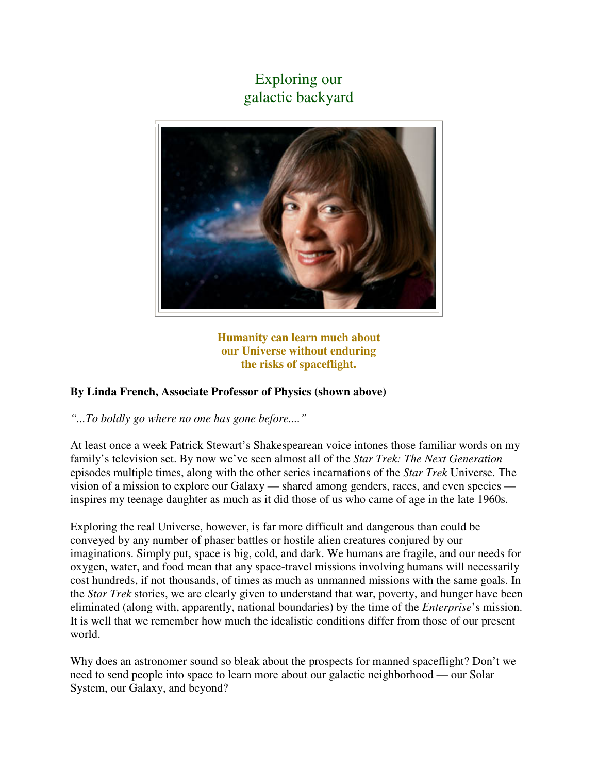## Exploring our galactic backyard



**Humanity can learn much about our Universe without enduring the risks of spaceflight.** 

### **By Linda French, Associate Professor of Physics (shown above)**

*"...To boldly go where no one has gone before...."*

At least once a week Patrick Stewart's Shakespearean voice intones those familiar words on my family's television set. By now we've seen almost all of the *Star Trek: The Next Generation* episodes multiple times, along with the other series incarnations of the *Star Trek* Universe. The vision of a mission to explore our Galaxy — shared among genders, races, and even species inspires my teenage daughter as much as it did those of us who came of age in the late 1960s.

Exploring the real Universe, however, is far more difficult and dangerous than could be conveyed by any number of phaser battles or hostile alien creatures conjured by our imaginations. Simply put, space is big, cold, and dark. We humans are fragile, and our needs for oxygen, water, and food mean that any space-travel missions involving humans will necessarily cost hundreds, if not thousands, of times as much as unmanned missions with the same goals. In the *Star Trek* stories, we are clearly given to understand that war, poverty, and hunger have been eliminated (along with, apparently, national boundaries) by the time of the *Enterprise*'s mission. It is well that we remember how much the idealistic conditions differ from those of our present world.

Why does an astronomer sound so bleak about the prospects for manned spaceflight? Don't we need to send people into space to learn more about our galactic neighborhood — our Solar System, our Galaxy, and beyond?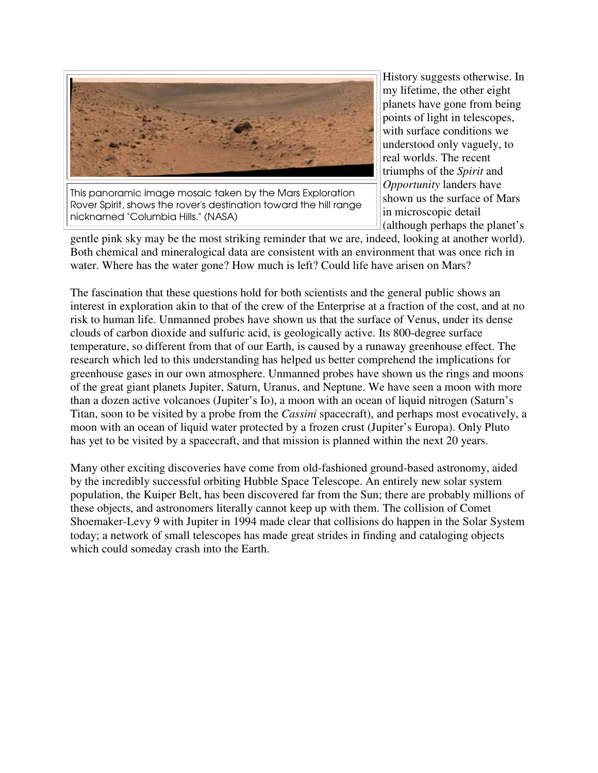

This panoramic image mosaic taken by the Mars Exploration Rover Spirit, shows the rover's destination toward the hill range nicknamed "Columbia Hills." (NASA)

History suggests otherwise. In my lifetime, the other eight planets have gone from being points of light in telescopes, with surface conditions we understood only vaguely, to real worlds. The recent triumphs of the *Spirit* and *Opportunity* landers have shown us the surface of Mars in microscopic detail (although perhaps the planet's

gentle pink sky may be the most striking reminder that we are, indeed, looking at another world). Both chemical and mineralogical data are consistent with an environment that was once rich in water. Where has the water gone? How much is left? Could life have arisen on Mars?

The fascination that these questions hold for both scientists and the general public shows an interest in exploration akin to that of the crew of the Enterprise at a fraction of the cost, and at no risk to human life. Unmanned probes have shown us that the surface of Venus, under its dense clouds of carbon dioxide and sulfuric acid, is geologically active. Its 800-degree surface temperature, so different from that of our Earth, is caused by a runaway greenhouse effect. The research which led to this understanding has helped us better comprehend the implications for greenhouse gases in our own atmosphere. Unmanned probes have shown us the rings and moons of the great giant planets Jupiter, Saturn, Uranus, and Neptune. We have seen a moon with more than a dozen active volcanoes (Jupiter's Io), a moon with an ocean of liquid nitrogen (Saturn's Titan, soon to be visited by a probe from the *Cassini* spacecraft), and perhaps most evocatively, a moon with an ocean of liquid water protected by a frozen crust (Jupiter's Europa). Only Pluto has yet to be visited by a spacecraft, and that mission is planned within the next 20 years.

Many other exciting discoveries have come from old-fashioned ground-based astronomy, aided by the incredibly successful orbiting Hubble Space Telescope. An entirely new solar system population, the Kuiper Belt, has been discovered far from the Sun; there are probably millions of these objects, and astronomers literally cannot keep up with them. The collision of Comet Shoemaker-Levy 9 with Jupiter in 1994 made clear that collisions do happen in the Solar System today; a network of small telescopes has made great strides in finding and cataloging objects which could someday crash into the Earth.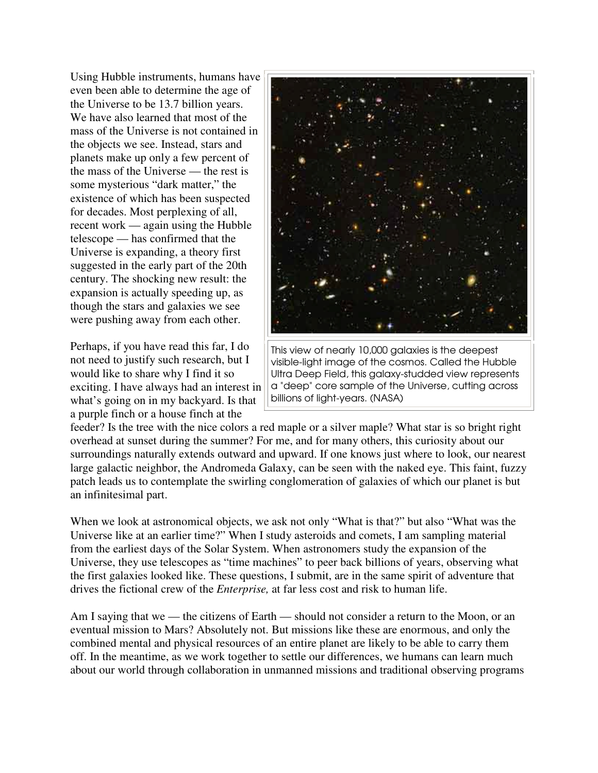Using Hubble instruments, humans have even been able to determine the age of the Universe to be 13.7 billion years. We have also learned that most of the mass of the Universe is not contained in the objects we see. Instead, stars and planets make up only a few percent of the mass of the Universe — the rest is some mysterious "dark matter," the existence of which has been suspected for decades. Most perplexing of all, recent work — again using the Hubble telescope — has confirmed that the Universe is expanding, a theory first suggested in the early part of the 20th century. The shocking new result: the expansion is actually speeding up, as though the stars and galaxies we see were pushing away from each other.

Perhaps, if you have read this far, I do not need to justify such research, but I would like to share why I find it so exciting. I have always had an interest in what's going on in my backyard. Is that a purple finch or a house finch at the



This view of nearly 10,000 galaxies is the deepest visible-light image of the cosmos. Called the Hubble Ultra Deep Field, this galaxy-studded view represents a "deep" core sample of the Universe, cutting across billions of light-years. (NASA)

feeder? Is the tree with the nice colors a red maple or a silver maple? What star is so bright right overhead at sunset during the summer? For me, and for many others, this curiosity about our surroundings naturally extends outward and upward. If one knows just where to look, our nearest large galactic neighbor, the Andromeda Galaxy, can be seen with the naked eye. This faint, fuzzy patch leads us to contemplate the swirling conglomeration of galaxies of which our planet is but an infinitesimal part.

When we look at astronomical objects, we ask not only "What is that?" but also "What was the Universe like at an earlier time?" When I study asteroids and comets, I am sampling material from the earliest days of the Solar System. When astronomers study the expansion of the Universe, they use telescopes as "time machines" to peer back billions of years, observing what the first galaxies looked like. These questions, I submit, are in the same spirit of adventure that drives the fictional crew of the *Enterprise,* at far less cost and risk to human life.

Am I saying that we — the citizens of Earth — should not consider a return to the Moon, or an eventual mission to Mars? Absolutely not. But missions like these are enormous, and only the combined mental and physical resources of an entire planet are likely to be able to carry them off. In the meantime, as we work together to settle our differences, we humans can learn much about our world through collaboration in unmanned missions and traditional observing programs